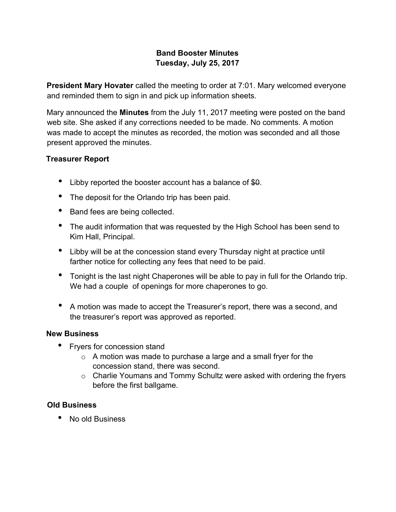### **Band Booster Minutes Tuesday, July 25, 2017**

**President Mary Hovater** called the meeting to order at 7:01. Mary welcomed everyone and reminded them to sign in and pick up information sheets.

Mary announced the **Minutes** from the July 11, 2017 meeting were posted on the band web site. She asked if any corrections needed to be made. No comments. A motion was made to accept the minutes as recorded, the motion was seconded and all those present approved the minutes.

### **Treasurer Report**

- Libby reported the booster account has a balance of \$0.
- The deposit for the Orlando trip has been paid.
- Band fees are being collected.
- The audit information that was requested by the High School has been send to Kim Hall, Principal.
- Libby will be at the concession stand every Thursday night at practice until farther notice for collecting any fees that need to be paid.
- Tonight is the last night Chaperones will be able to pay in full for the Orlando trip. We had a couple of openings for more chaperones to go.
- A motion was made to accept the Treasurer's report, there was a second, and the treasurer's report was approved as reported.

#### **New Business**

- Fryers for concession stand
	- o A motion was made to purchase a large and a small fryer for the concession stand, there was second.
	- o Charlie Youmans and Tommy Schultz were asked with ordering the fryers before the first ballgame.

### **Old Business**

• No old Business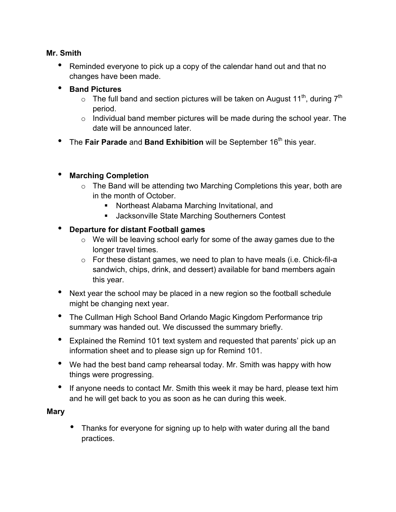#### **Mr. Smith**

- Reminded everyone to pick up a copy of the calendar hand out and that no changes have been made.
- **Band Pictures**
	- $\circ$  The full band and section pictures will be taken on August 11<sup>th</sup>, during 7<sup>th</sup> period.
	- $\circ$  Individual band member pictures will be made during the school year. The date will be announced later.
- The Fair Parade and Band Exhibition will be September 16<sup>th</sup> this year.

### • **Marching Completion**

- o The Band will be attending two Marching Completions this year, both are in the month of October.
	- ! Northeast Alabama Marching Invitational, and
	- **EXECUTE:** Jacksonville State Marching Southerners Contest

### • **Departure for distant Football games**

- o We will be leaving school early for some of the away games due to the longer travel times.
- o For these distant games, we need to plan to have meals (i.e. Chick-fil-a sandwich, chips, drink, and dessert) available for band members again this year.
- Next year the school may be placed in a new region so the football schedule might be changing next year.
- The Cullman High School Band Orlando Magic Kingdom Performance trip summary was handed out. We discussed the summary briefly.
- Explained the Remind 101 text system and requested that parents' pick up an information sheet and to please sign up for Remind 101.
- We had the best band camp rehearsal today. Mr. Smith was happy with how things were progressing.
- If anyone needs to contact Mr. Smith this week it may be hard, please text him and he will get back to you as soon as he can during this week.

### **Mary**

• Thanks for everyone for signing up to help with water during all the band practices.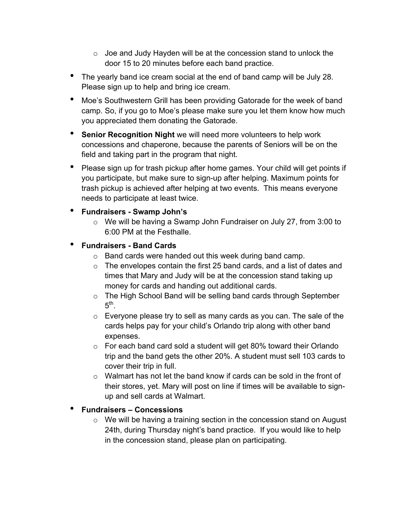- o Joe and Judy Hayden will be at the concession stand to unlock the door 15 to 20 minutes before each band practice.
- The yearly band ice cream social at the end of band camp will be July 28. Please sign up to help and bring ice cream.
- Moe's Southwestern Grill has been providing Gatorade for the week of band camp. So, if you go to Moe's please make sure you let them know how much you appreciated them donating the Gatorade.
- **Senior Recognition Night** we will need more volunteers to help work concessions and chaperone, because the parents of Seniors will be on the field and taking part in the program that night.
- Please sign up for trash pickup after home games. Your child will get points if you participate, but make sure to sign-up after helping. Maximum points for trash pickup is achieved after helping at two events. This means everyone needs to participate at least twice.
- **Fundraisers Swamp John's**
	- o We will be having a Swamp John Fundraiser on July 27, from 3:00 to 6:00 PM at the Festhalle.
- **Fundraisers - Band Cards**
	- o Band cards were handed out this week during band camp.
	- o The envelopes contain the first 25 band cards, and a list of dates and times that Mary and Judy will be at the concession stand taking up money for cards and handing out additional cards.
	- o The High School Band will be selling band cards through September  $5<sup>th</sup>$
	- o Everyone please try to sell as many cards as you can. The sale of the cards helps pay for your child's Orlando trip along with other band expenses.
	- o For each band card sold a student will get 80% toward their Orlando trip and the band gets the other 20%. A student must sell 103 cards to cover their trip in full.
	- $\circ$  Walmart has not let the band know if cards can be sold in the front of their stores, yet. Mary will post on line if times will be available to signup and sell cards at Walmart.

### • **Fundraisers – Concessions**

o We will be having a training section in the concession stand on August 24th, during Thursday night's band practice. If you would like to help in the concession stand, please plan on participating.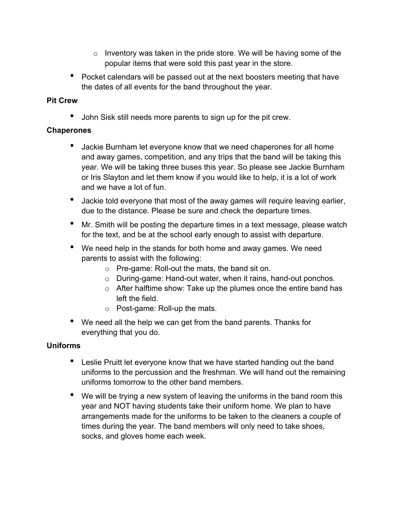- $\circ$  Inventory was taken in the pride store. We will be having some of the popular items that were sold this past year in the store.
- Pocket calendars will be passed out at the next boosters meeting that have the dates of all events for the band throughout the year.

#### **Pit Crew**

• John Sisk still needs more parents to sign up for the pit crew.

#### **Chaperones**

- Jackie Burnham let everyone know that we need chaperones for all home and away games, competition, and any trips that the band will be taking this year. We will be taking three buses this year. So please see Jackie Burnham or Iris Slayton and let them know if you would like to help, it is a lot of work and we have a lot of fun.
- Jackie told everyone that most of the away games will require leaving earlier, due to the distance. Please be sure and check the departure times.
- Mr. Smith will be posting the departure times in a text message, please watch for the text, and be at the school early enough to assist with departure.
- We need help in the stands for both home and away games. We need parents to assist with the following:
	- o Pre-game: Roll-out the mats, the band sit on.
	- o During-game: Hand-out water, when it rains, hand-out ponchos.
	- o After halftime show: Take up the plumes once the entire band has left the field.
	- o Post-game: Roll-up the mats.
- We need all the help we can get from the band parents. Thanks for everything that you do.

### **Uniforms**

- Leslie Pruitt let everyone know that we have started handing out the band uniforms to the percussion and the freshman. We will hand out the remaining uniforms tomorrow to the other band members.
- We will be trying a new system of leaving the uniforms in the band room this year and NOT having students take their uniform home. We plan to have arrangements made for the uniforms to be taken to the cleaners a couple of times during the year. The band members will only need to take shoes, socks, and gloves home each week.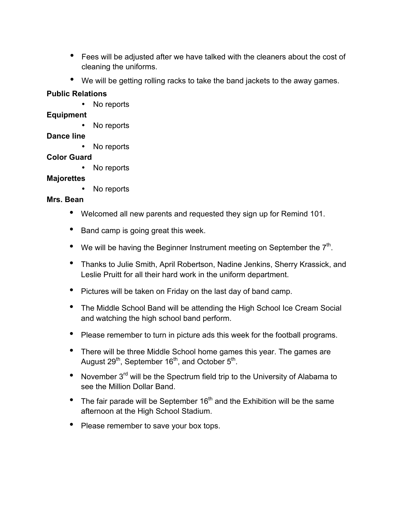- Fees will be adjusted after we have talked with the cleaners about the cost of cleaning the uniforms.
- We will be getting rolling racks to take the band jackets to the away games.

## **Public Relations**

• No reports

## **Equipment**

No reports

## **Dance line**

• No reports

# **Color Guard**

• No reports

# **Majorettes**

No reports

# **Mrs. Bean**

- Welcomed all new parents and requested they sign up for Remind 101.
- Band camp is going great this week.
- We will be having the Beginner Instrument meeting on September the  $7<sup>th</sup>$ .
- Thanks to Julie Smith, April Robertson, Nadine Jenkins, Sherry Krassick, and Leslie Pruitt for all their hard work in the uniform department.
- Pictures will be taken on Friday on the last day of band camp.
- The Middle School Band will be attending the High School Ice Cream Social and watching the high school band perform.
- Please remember to turn in picture ads this week for the football programs.
- There will be three Middle School home games this year. The games are August 29<sup>th</sup>, September 16<sup>th</sup>, and October 5<sup>th</sup>.
- November 3<sup>rd</sup> will be the Spectrum field trip to the University of Alabama to see the Million Dollar Band.
- $\bullet$  The fair parade will be September 16<sup>th</sup> and the Exhibition will be the same afternoon at the High School Stadium.
- Please remember to save your box tops.